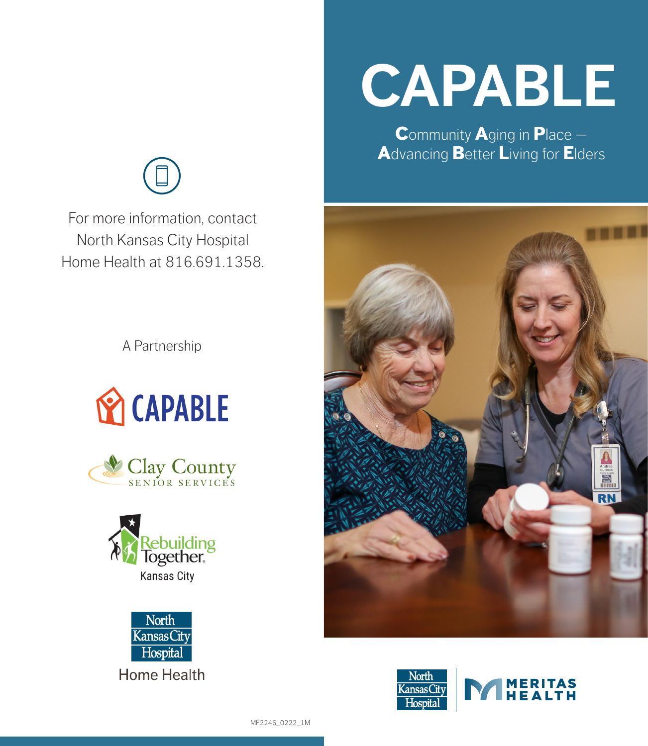For more information, contact North Kansas City Hospital Home Health at 816 691 1358

A Partnership









# **CAPABLE**

Community Aging in Place -**Advancing Better Living for Elders**